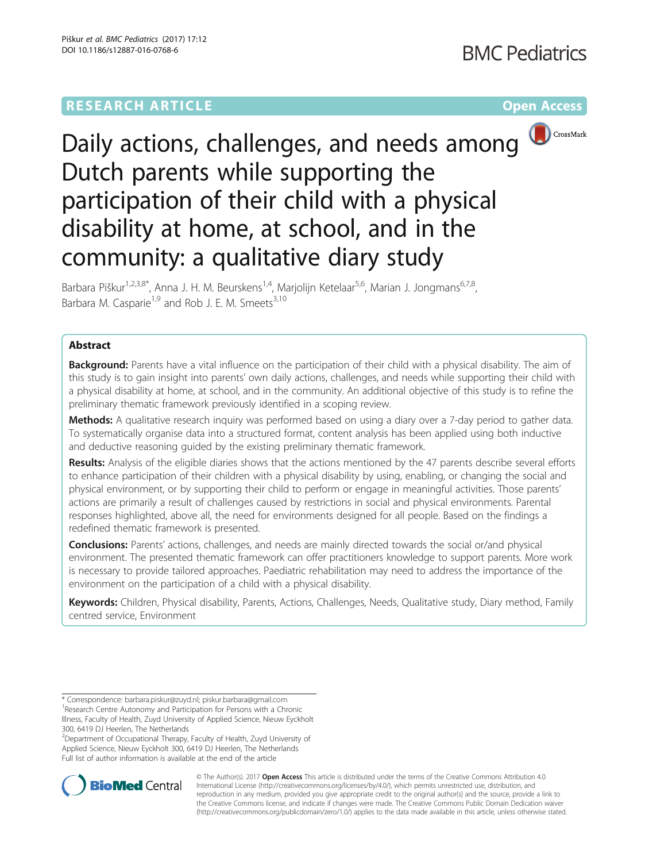

# Daily actions, challenges, and needs among Dutch parents while supporting the participation of their child with a physical disability at home, at school, and in the community: a qualitative diary study

Barbara Piškur<sup>1,2,3,8\*</sup>, Anna J. H. M. Beurskens<sup>1,4</sup>, Marjolijn Ketelaar<sup>5,6</sup>, Marian J. Jongmans<sup>6,7,8</sup>, Barbara M. Casparie<sup>1,9</sup> and Rob J. E. M. Smeets<sup>3,10</sup>

# Abstract

**Background:** Parents have a vital influence on the participation of their child with a physical disability. The aim of this study is to gain insight into parents' own daily actions, challenges, and needs while supporting their child with a physical disability at home, at school, and in the community. An additional objective of this study is to refine the preliminary thematic framework previously identified in a scoping review.

Methods: A qualitative research inquiry was performed based on using a diary over a 7-day period to gather data. To systematically organise data into a structured format, content analysis has been applied using both inductive and deductive reasoning guided by the existing preliminary thematic framework.

Results: Analysis of the eligible diaries shows that the actions mentioned by the 47 parents describe several efforts to enhance participation of their children with a physical disability by using, enabling, or changing the social and physical environment, or by supporting their child to perform or engage in meaningful activities. Those parents' actions are primarily a result of challenges caused by restrictions in social and physical environments. Parental responses highlighted, above all, the need for environments designed for all people. Based on the findings a redefined thematic framework is presented.

**Conclusions:** Parents' actions, challenges, and needs are mainly directed towards the social or/and physical environment. The presented thematic framework can offer practitioners knowledge to support parents. More work is necessary to provide tailored approaches. Paediatric rehabilitation may need to address the importance of the environment on the participation of a child with a physical disability.

Keywords: Children, Physical disability, Parents, Actions, Challenges, Needs, Qualitative study, Diary method, Family centred service, Environment

<sup>2</sup>Department of Occupational Therapy, Faculty of Health, Zuyd University of Applied Science, Nieuw Eyckholt 300, 6419 DJ Heerlen, The Netherlands Full list of author information is available at the end of the article



© The Author(s). 2017 **Open Access** This article is distributed under the terms of the Creative Commons Attribution 4.0 International License [\(http://creativecommons.org/licenses/by/4.0/](http://creativecommons.org/licenses/by/4.0/)), which permits unrestricted use, distribution, and reproduction in any medium, provided you give appropriate credit to the original author(s) and the source, provide a link to the Creative Commons license, and indicate if changes were made. The Creative Commons Public Domain Dedication waiver [\(http://creativecommons.org/publicdomain/zero/1.0/](http://creativecommons.org/publicdomain/zero/1.0/)) applies to the data made available in this article, unless otherwise stated.

<sup>\*</sup> Correspondence: [barbara.piskur@zuyd.nl](mailto:barbara.piskur@zuyd.nl); [piskur.barbara@gmail.com](mailto:piskur.barbara@gmail.com) <sup>1</sup> <sup>1</sup> Research Centre Autonomy and Participation for Persons with a Chronic Illness, Faculty of Health, Zuyd University of Applied Science, Nieuw Eyckholt 300, 6419 DJ Heerlen, The Netherlands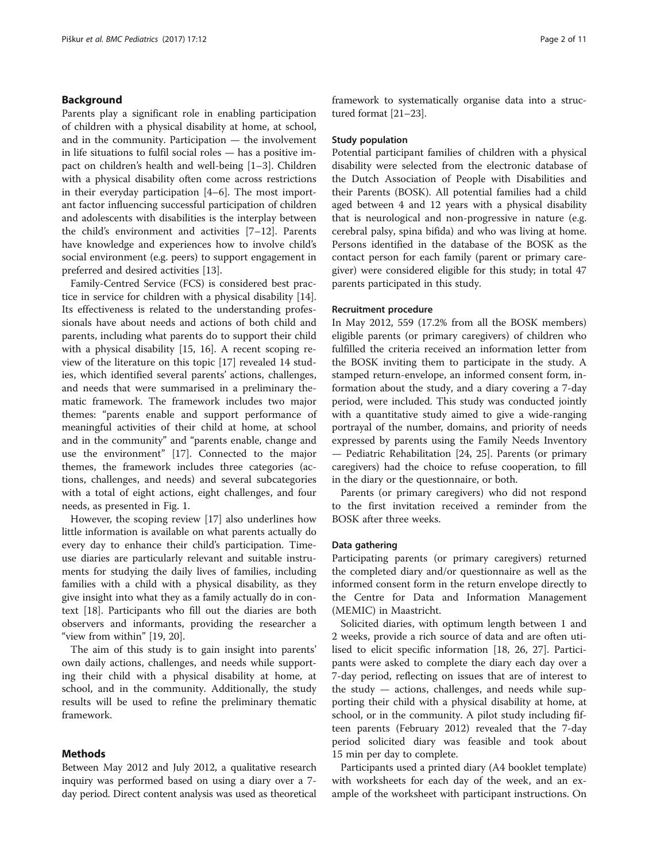# Background

Parents play a significant role in enabling participation of children with a physical disability at home, at school, and in the community. Participation — the involvement in life situations to fulfil social roles — has a positive impact on children's health and well-being [\[1](#page-9-0)–[3\]](#page-9-0). Children with a physical disability often come across restrictions in their everyday participation [\[4](#page-9-0)–[6\]](#page-9-0). The most important factor influencing successful participation of children and adolescents with disabilities is the interplay between the child's environment and activities [[7](#page-9-0)–[12](#page-9-0)]. Parents have knowledge and experiences how to involve child's social environment (e.g. peers) to support engagement in preferred and desired activities [[13\]](#page-9-0).

Family-Centred Service (FCS) is considered best practice in service for children with a physical disability [\[14](#page-9-0)]. Its effectiveness is related to the understanding professionals have about needs and actions of both child and parents, including what parents do to support their child with a physical disability [\[15](#page-9-0), [16](#page-9-0)]. A recent scoping review of the literature on this topic [[17\]](#page-9-0) revealed 14 studies, which identified several parents' actions, challenges, and needs that were summarised in a preliminary thematic framework. The framework includes two major themes: "parents enable and support performance of meaningful activities of their child at home, at school and in the community" and "parents enable, change and use the environment" [[17\]](#page-9-0). Connected to the major themes, the framework includes three categories (actions, challenges, and needs) and several subcategories with a total of eight actions, eight challenges, and four needs, as presented in Fig. [1](#page-2-0).

However, the scoping review [[17\]](#page-9-0) also underlines how little information is available on what parents actually do every day to enhance their child's participation. Timeuse diaries are particularly relevant and suitable instruments for studying the daily lives of families, including families with a child with a physical disability, as they give insight into what they as a family actually do in context [[18\]](#page-10-0). Participants who fill out the diaries are both observers and informants, providing the researcher a "view from within" [[19, 20\]](#page-10-0).

The aim of this study is to gain insight into parents' own daily actions, challenges, and needs while supporting their child with a physical disability at home, at school, and in the community. Additionally, the study results will be used to refine the preliminary thematic framework.

# Methods

Between May 2012 and July 2012, a qualitative research inquiry was performed based on using a diary over a 7 day period. Direct content analysis was used as theoretical framework to systematically organise data into a structured format [\[21](#page-10-0)–[23](#page-10-0)].

#### Study population

Potential participant families of children with a physical disability were selected from the electronic database of the Dutch Association of People with Disabilities and their Parents (BOSK). All potential families had a child aged between 4 and 12 years with a physical disability that is neurological and non-progressive in nature (e.g. cerebral palsy, spina bifida) and who was living at home. Persons identified in the database of the BOSK as the contact person for each family (parent or primary caregiver) were considered eligible for this study; in total 47 parents participated in this study.

#### Recruitment procedure

In May 2012, 559 (17.2% from all the BOSK members) eligible parents (or primary caregivers) of children who fulfilled the criteria received an information letter from the BOSK inviting them to participate in the study. A stamped return-envelope, an informed consent form, information about the study, and a diary covering a 7-day period, were included. This study was conducted jointly with a quantitative study aimed to give a wide-ranging portrayal of the number, domains, and priority of needs expressed by parents using the Family Needs Inventory — Pediatric Rehabilitation [\[24](#page-10-0), [25\]](#page-10-0). Parents (or primary caregivers) had the choice to refuse cooperation, to fill in the diary or the questionnaire, or both.

Parents (or primary caregivers) who did not respond to the first invitation received a reminder from the BOSK after three weeks.

# Data gathering

Participating parents (or primary caregivers) returned the completed diary and/or questionnaire as well as the informed consent form in the return envelope directly to the Centre for Data and Information Management (MEMIC) in Maastricht.

Solicited diaries, with optimum length between 1 and 2 weeks, provide a rich source of data and are often utilised to elicit specific information [[18, 26](#page-10-0), [27\]](#page-10-0). Participants were asked to complete the diary each day over a 7-day period, reflecting on issues that are of interest to the study — actions, challenges, and needs while supporting their child with a physical disability at home, at school, or in the community. A pilot study including fifteen parents (February 2012) revealed that the 7-day period solicited diary was feasible and took about 15 min per day to complete.

Participants used a printed diary (A4 booklet template) with worksheets for each day of the week, and an example of the worksheet with participant instructions. On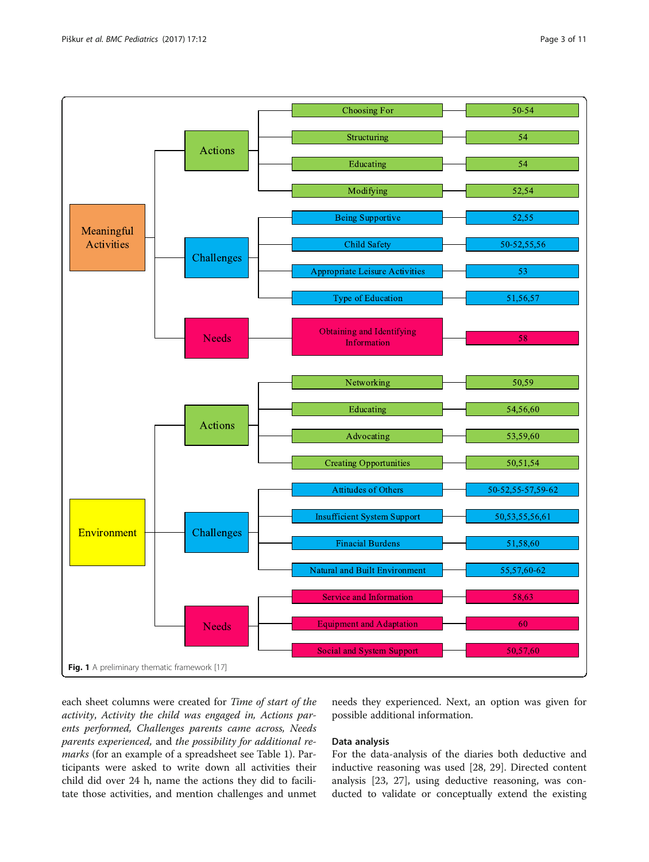<span id="page-2-0"></span>

each sheet columns were created for *Time of start of the* activity, Activity the child was engaged in, Actions parents performed, Challenges parents came across, Needs parents experienced, and the possibility for additional remarks (for an example of a spreadsheet see Table [1](#page-3-0)). Participants were asked to write down all activities their child did over 24 h, name the actions they did to facilitate those activities, and mention challenges and unmet needs they experienced. Next, an option was given for possible additional information.

# Data analysis

For the data-analysis of the diaries both deductive and inductive reasoning was used [[28, 29\]](#page-10-0). Directed content analysis [\[23](#page-10-0), [27](#page-10-0)], using deductive reasoning, was conducted to validate or conceptually extend the existing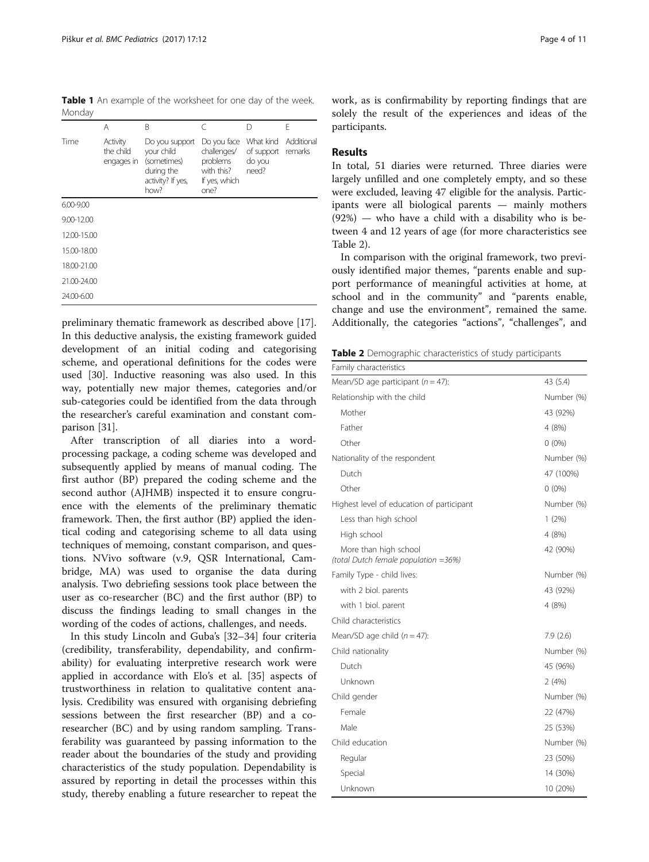<span id="page-3-0"></span>Table 1 An example of the worksheet for one day of the week. Monday

| .           |                                     |                                                                                        |                                                                               |                                            |                       |  |  |
|-------------|-------------------------------------|----------------------------------------------------------------------------------------|-------------------------------------------------------------------------------|--------------------------------------------|-----------------------|--|--|
|             | Α                                   | B                                                                                      | C                                                                             | D                                          | E                     |  |  |
| Time        | Activity<br>the child<br>engages in | Do you support<br>your child<br>(sometimes)<br>during the<br>activity? If yes,<br>how? | Do you face<br>challenges/<br>problems<br>with this?<br>If yes, which<br>one? | What kind<br>of support<br>do you<br>need? | Additional<br>remarks |  |  |
| 6.00-9.00   |                                     |                                                                                        |                                                                               |                                            |                       |  |  |
| 9.00-12.00  |                                     |                                                                                        |                                                                               |                                            |                       |  |  |
| 12.00-15.00 |                                     |                                                                                        |                                                                               |                                            |                       |  |  |
| 15.00-18.00 |                                     |                                                                                        |                                                                               |                                            |                       |  |  |
| 18.00-21.00 |                                     |                                                                                        |                                                                               |                                            |                       |  |  |
| 21.00-24.00 |                                     |                                                                                        |                                                                               |                                            |                       |  |  |
| 24.00-6.00  |                                     |                                                                                        |                                                                               |                                            |                       |  |  |

preliminary thematic framework as described above [\[17](#page-9-0)]. In this deductive analysis, the existing framework guided development of an initial coding and categorising scheme, and operational definitions for the codes were used [[30\]](#page-10-0). Inductive reasoning was also used. In this way, potentially new major themes, categories and/or sub-categories could be identified from the data through the researcher's careful examination and constant comparison [[31\]](#page-10-0).

After transcription of all diaries into a wordprocessing package, a coding scheme was developed and subsequently applied by means of manual coding. The first author (BP) prepared the coding scheme and the second author (AJHMB) inspected it to ensure congruence with the elements of the preliminary thematic framework. Then, the first author (BP) applied the identical coding and categorising scheme to all data using techniques of memoing, constant comparison, and questions. NVivo software (v.9, QSR International, Cambridge, MA) was used to organise the data during analysis. Two debriefing sessions took place between the user as co-researcher (BC) and the first author (BP) to discuss the findings leading to small changes in the wording of the codes of actions, challenges, and needs.

In this study Lincoln and Guba's [[32](#page-10-0)–[34](#page-10-0)] four criteria (credibility, transferability, dependability, and confirmability) for evaluating interpretive research work were applied in accordance with Elo's et al. [\[35](#page-10-0)] aspects of trustworthiness in relation to qualitative content analysis. Credibility was ensured with organising debriefing sessions between the first researcher (BP) and a coresearcher (BC) and by using random sampling. Transferability was guaranteed by passing information to the reader about the boundaries of the study and providing characteristics of the study population. Dependability is assured by reporting in detail the processes within this study, thereby enabling a future researcher to repeat the work, as is confirmability by reporting findings that are solely the result of the experiences and ideas of the participants.

### Results

In total, 51 diaries were returned. Three diaries were largely unfilled and one completely empty, and so these were excluded, leaving 47 eligible for the analysis. Participants were all biological parents — mainly mothers  $(92%)$  — who have a child with a disability who is between 4 and 12 years of age (for more characteristics see Table 2).

In comparison with the original framework, two previously identified major themes, "parents enable and support performance of meaningful activities at home, at school and in the community" and "parents enable, change and use the environment", remained the same. Additionally, the categories "actions", "challenges", and

| Table 2 Demographic characteristics of study participants |  |  |  |
|-----------------------------------------------------------|--|--|--|
|-----------------------------------------------------------|--|--|--|

| Family characteristics                                        |            |
|---------------------------------------------------------------|------------|
| Mean/SD age participant $(n = 47)$ :                          | 43 (5.4)   |
| Relationship with the child                                   | Number (%) |
| Mother                                                        | 43 (92%)   |
| Father                                                        | 4 (8%)     |
| Other                                                         | $0(0\%)$   |
| Nationality of the respondent                                 | Number (%) |
| Dutch                                                         | 47 (100%)  |
| Other                                                         | $0(0\%)$   |
| Highest level of education of participant                     | Number (%) |
| Less than high school                                         | $1(2\%)$   |
| High school                                                   | 4 (8%)     |
| More than high school<br>(total Dutch female population =36%) | 42 (90%)   |
| Family Type - child lives:                                    | Number (%) |
| with 2 biol. parents                                          | 43 (92%)   |
| with 1 biol. parent                                           | 4 (8%)     |
| Child characteristics                                         |            |
| Mean/SD age child $(n = 47)$ :                                | 7.9(2.6)   |
| Child nationality                                             | Number (%) |
| Dutch                                                         | 45 (96%)   |
| Unknown                                                       | 2(4%)      |
| Child gender                                                  | Number (%) |
| Female                                                        | 22 (47%)   |
| Male                                                          | 25 (53%)   |
| Child education                                               | Number (%) |
| Regular                                                       | 23 (50%)   |
| Special                                                       | 14 (30%)   |
| Unknown                                                       | 10 (20%)   |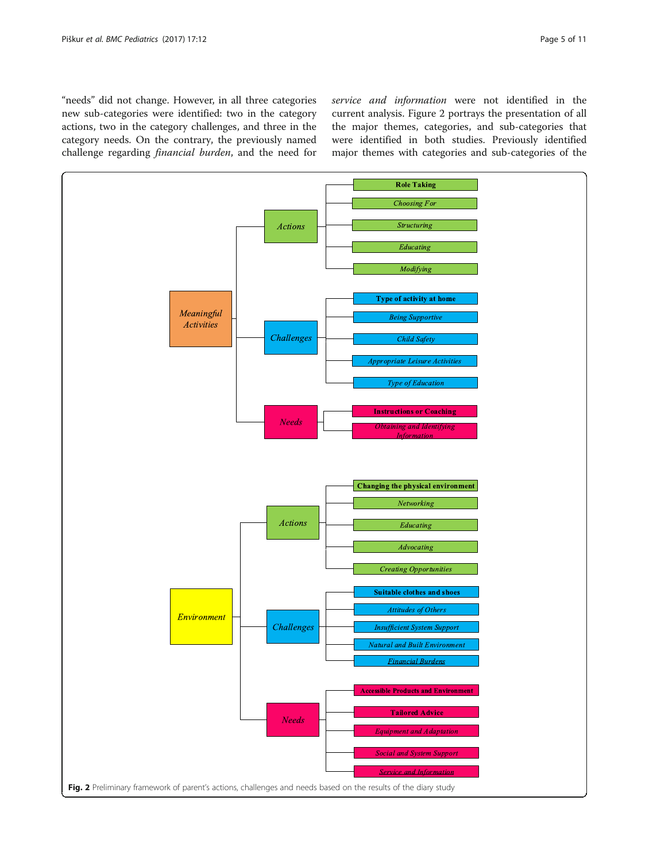"needs" did not change. However, in all three categories new sub-categories were identified: two in the category actions, two in the category challenges, and three in the category needs. On the contrary, the previously named challenge regarding financial burden, and the need for service and information were not identified in the current analysis. Figure 2 portrays the presentation of all the major themes, categories, and sub-categories that were identified in both studies. Previously identified major themes with categories and sub-categories of the

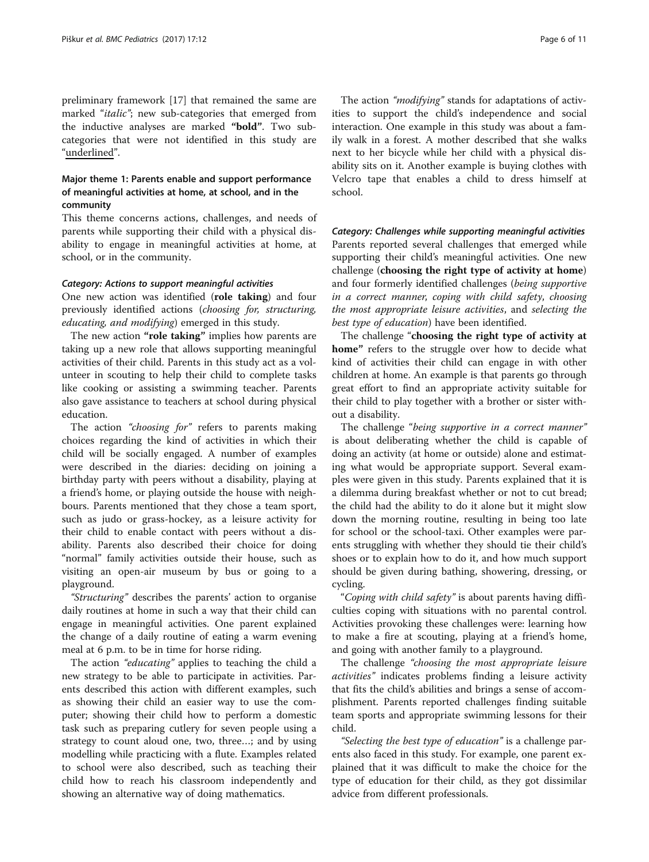preliminary framework [\[17](#page-9-0)] that remained the same are marked "italic"; new sub-categories that emerged from the inductive analyses are marked "bold". Two subcategories that were not identified in this study are "underlined".

# Major theme 1: Parents enable and support performance of meaningful activities at home, at school, and in the community

This theme concerns actions, challenges, and needs of parents while supporting their child with a physical disability to engage in meaningful activities at home, at school, or in the community.

#### Category: Actions to support meaningful activities

One new action was identified (role taking) and four previously identified actions (choosing for, structuring, educating, and modifying) emerged in this study.

The new action "role taking" implies how parents are taking up a new role that allows supporting meaningful activities of their child. Parents in this study act as a volunteer in scouting to help their child to complete tasks like cooking or assisting a swimming teacher. Parents also gave assistance to teachers at school during physical education.

The action "choosing for" refers to parents making choices regarding the kind of activities in which their child will be socially engaged. A number of examples were described in the diaries: deciding on joining a birthday party with peers without a disability, playing at a friend's home, or playing outside the house with neighbours. Parents mentioned that they chose a team sport, such as judo or grass-hockey, as a leisure activity for their child to enable contact with peers without a disability. Parents also described their choice for doing "normal" family activities outside their house, such as visiting an open-air museum by bus or going to a playground.

"Structuring" describes the parents' action to organise daily routines at home in such a way that their child can engage in meaningful activities. One parent explained the change of a daily routine of eating a warm evening meal at 6 p.m. to be in time for horse riding.

The action *"educating"* applies to teaching the child a new strategy to be able to participate in activities. Parents described this action with different examples, such as showing their child an easier way to use the computer; showing their child how to perform a domestic task such as preparing cutlery for seven people using a strategy to count aloud one, two, three…; and by using modelling while practicing with a flute. Examples related to school were also described, such as teaching their child how to reach his classroom independently and showing an alternative way of doing mathematics.

The action "modifying" stands for adaptations of activities to support the child's independence and social interaction. One example in this study was about a family walk in a forest. A mother described that she walks next to her bicycle while her child with a physical disability sits on it. Another example is buying clothes with Velcro tape that enables a child to dress himself at school.

Category: Challenges while supporting meaningful activities Parents reported several challenges that emerged while supporting their child's meaningful activities. One new challenge (choosing the right type of activity at home) and four formerly identified challenges (being supportive in a correct manner, coping with child safety, choosing the most appropriate leisure activities, and selecting the best type of education) have been identified.

The challenge "choosing the right type of activity at home" refers to the struggle over how to decide what kind of activities their child can engage in with other children at home. An example is that parents go through great effort to find an appropriate activity suitable for their child to play together with a brother or sister without a disability.

The challenge "being supportive in a correct manner" is about deliberating whether the child is capable of doing an activity (at home or outside) alone and estimating what would be appropriate support. Several examples were given in this study. Parents explained that it is a dilemma during breakfast whether or not to cut bread; the child had the ability to do it alone but it might slow down the morning routine, resulting in being too late for school or the school-taxi. Other examples were parents struggling with whether they should tie their child's shoes or to explain how to do it, and how much support should be given during bathing, showering, dressing, or cycling.

"Coping with child safety" is about parents having difficulties coping with situations with no parental control. Activities provoking these challenges were: learning how to make a fire at scouting, playing at a friend's home, and going with another family to a playground.

The challenge "choosing the most appropriate leisure activities" indicates problems finding a leisure activity that fits the child's abilities and brings a sense of accomplishment. Parents reported challenges finding suitable team sports and appropriate swimming lessons for their child.

"Selecting the best type of education" is a challenge parents also faced in this study. For example, one parent explained that it was difficult to make the choice for the type of education for their child, as they got dissimilar advice from different professionals.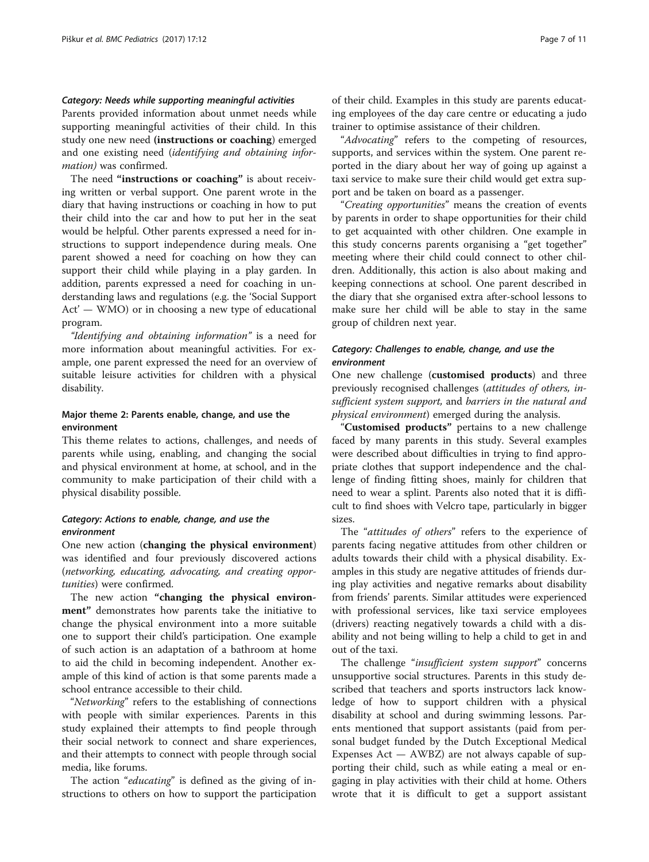# Category: Needs while supporting meaningful activities

Parents provided information about unmet needs while supporting meaningful activities of their child. In this study one new need (instructions or coaching) emerged and one existing need (identifying and obtaining information) was confirmed.

The need "instructions or coaching" is about receiving written or verbal support. One parent wrote in the diary that having instructions or coaching in how to put their child into the car and how to put her in the seat would be helpful. Other parents expressed a need for instructions to support independence during meals. One parent showed a need for coaching on how they can support their child while playing in a play garden. In addition, parents expressed a need for coaching in understanding laws and regulations (e.g. the 'Social Support Act' — WMO) or in choosing a new type of educational program.

"Identifying and obtaining information" is a need for more information about meaningful activities. For example, one parent expressed the need for an overview of suitable leisure activities for children with a physical disability.

# Major theme 2: Parents enable, change, and use the environment

This theme relates to actions, challenges, and needs of parents while using, enabling, and changing the social and physical environment at home, at school, and in the community to make participation of their child with a physical disability possible.

# Category: Actions to enable, change, and use the environment

One new action (changing the physical environment) was identified and four previously discovered actions (networking, educating, advocating, and creating opportunities) were confirmed.

The new action "changing the physical environment" demonstrates how parents take the initiative to change the physical environment into a more suitable one to support their child's participation. One example of such action is an adaptation of a bathroom at home to aid the child in becoming independent. Another example of this kind of action is that some parents made a school entrance accessible to their child.

"Networking" refers to the establishing of connections with people with similar experiences. Parents in this study explained their attempts to find people through their social network to connect and share experiences, and their attempts to connect with people through social media, like forums.

The action "*educating*" is defined as the giving of instructions to others on how to support the participation

of their child. Examples in this study are parents educating employees of the day care centre or educating a judo trainer to optimise assistance of their children.

"Advocating" refers to the competing of resources, supports, and services within the system. One parent reported in the diary about her way of going up against a taxi service to make sure their child would get extra support and be taken on board as a passenger.

"Creating opportunities" means the creation of events by parents in order to shape opportunities for their child to get acquainted with other children. One example in this study concerns parents organising a "get together" meeting where their child could connect to other children. Additionally, this action is also about making and keeping connections at school. One parent described in the diary that she organised extra after-school lessons to make sure her child will be able to stay in the same group of children next year.

# Category: Challenges to enable, change, and use the environment

One new challenge (customised products) and three previously recognised challenges (attitudes of others, insufficient system support, and barriers in the natural and physical environment) emerged during the analysis.

"Customised products" pertains to a new challenge faced by many parents in this study. Several examples were described about difficulties in trying to find appropriate clothes that support independence and the challenge of finding fitting shoes, mainly for children that need to wear a splint. Parents also noted that it is difficult to find shoes with Velcro tape, particularly in bigger sizes.

The "attitudes of others" refers to the experience of parents facing negative attitudes from other children or adults towards their child with a physical disability. Examples in this study are negative attitudes of friends during play activities and negative remarks about disability from friends' parents. Similar attitudes were experienced with professional services, like taxi service employees (drivers) reacting negatively towards a child with a disability and not being willing to help a child to get in and out of the taxi.

The challenge "*insufficient system support*" concerns unsupportive social structures. Parents in this study described that teachers and sports instructors lack knowledge of how to support children with a physical disability at school and during swimming lessons. Parents mentioned that support assistants (paid from personal budget funded by the Dutch Exceptional Medical Expenses Act — AWBZ) are not always capable of supporting their child, such as while eating a meal or engaging in play activities with their child at home. Others wrote that it is difficult to get a support assistant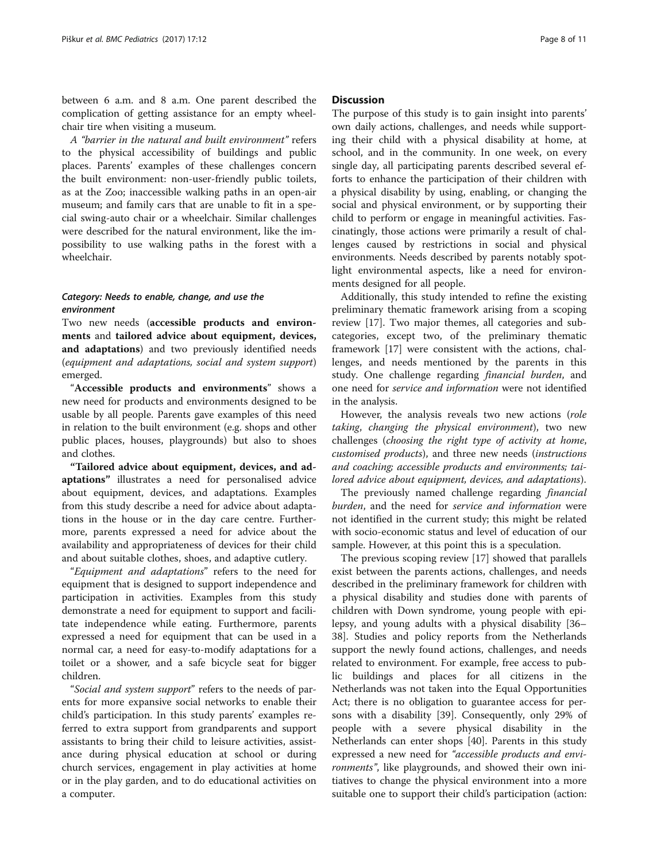between 6 a.m. and 8 a.m. One parent described the complication of getting assistance for an empty wheelchair tire when visiting a museum.

A "barrier in the natural and built environment" refers to the physical accessibility of buildings and public places. Parents' examples of these challenges concern the built environment: non-user-friendly public toilets, as at the Zoo; inaccessible walking paths in an open-air museum; and family cars that are unable to fit in a special swing-auto chair or a wheelchair. Similar challenges were described for the natural environment, like the impossibility to use walking paths in the forest with a wheelchair.

# Category: Needs to enable, change, and use the environment

Two new needs (accessible products and environments and tailored advice about equipment, devices, and adaptations) and two previously identified needs (equipment and adaptations, social and system support) emerged.

"Accessible products and environments" shows a new need for products and environments designed to be usable by all people. Parents gave examples of this need in relation to the built environment (e.g. shops and other public places, houses, playgrounds) but also to shoes and clothes.

"Tailored advice about equipment, devices, and adaptations" illustrates a need for personalised advice about equipment, devices, and adaptations. Examples from this study describe a need for advice about adaptations in the house or in the day care centre. Furthermore, parents expressed a need for advice about the availability and appropriateness of devices for their child and about suitable clothes, shoes, and adaptive cutlery.

"Equipment and adaptations" refers to the need for equipment that is designed to support independence and participation in activities. Examples from this study demonstrate a need for equipment to support and facilitate independence while eating. Furthermore, parents expressed a need for equipment that can be used in a normal car, a need for easy-to-modify adaptations for a toilet or a shower, and a safe bicycle seat for bigger children.

"Social and system support" refers to the needs of parents for more expansive social networks to enable their child's participation. In this study parents' examples referred to extra support from grandparents and support assistants to bring their child to leisure activities, assistance during physical education at school or during church services, engagement in play activities at home or in the play garden, and to do educational activities on a computer.

# **Discussion**

The purpose of this study is to gain insight into parents' own daily actions, challenges, and needs while supporting their child with a physical disability at home, at school, and in the community. In one week, on every single day, all participating parents described several efforts to enhance the participation of their children with a physical disability by using, enabling, or changing the social and physical environment, or by supporting their child to perform or engage in meaningful activities. Fascinatingly, those actions were primarily a result of challenges caused by restrictions in social and physical environments. Needs described by parents notably spotlight environmental aspects, like a need for environments designed for all people.

Additionally, this study intended to refine the existing preliminary thematic framework arising from a scoping review [\[17](#page-9-0)]. Two major themes, all categories and subcategories, except two, of the preliminary thematic framework [\[17](#page-9-0)] were consistent with the actions, challenges, and needs mentioned by the parents in this study. One challenge regarding *financial burden*, and one need for service and information were not identified in the analysis.

However, the analysis reveals two new actions (role taking, changing the physical environment), two new challenges (choosing the right type of activity at home, customised products), and three new needs (instructions and coaching; accessible products and environments; tailored advice about equipment, devices, and adaptations).

The previously named challenge regarding *financial* burden, and the need for service and information were not identified in the current study; this might be related with socio-economic status and level of education of our sample. However, at this point this is a speculation.

The previous scoping review [\[17](#page-9-0)] showed that parallels exist between the parents actions, challenges, and needs described in the preliminary framework for children with a physical disability and studies done with parents of children with Down syndrome, young people with epilepsy, and young adults with a physical disability [[36](#page-10-0)– [38\]](#page-10-0). Studies and policy reports from the Netherlands support the newly found actions, challenges, and needs related to environment. For example, free access to public buildings and places for all citizens in the Netherlands was not taken into the Equal Opportunities Act; there is no obligation to guarantee access for persons with a disability [[39\]](#page-10-0). Consequently, only 29% of people with a severe physical disability in the Netherlands can enter shops [\[40](#page-10-0)]. Parents in this study expressed a new need for "accessible products and environments", like playgrounds, and showed their own initiatives to change the physical environment into a more suitable one to support their child's participation (action: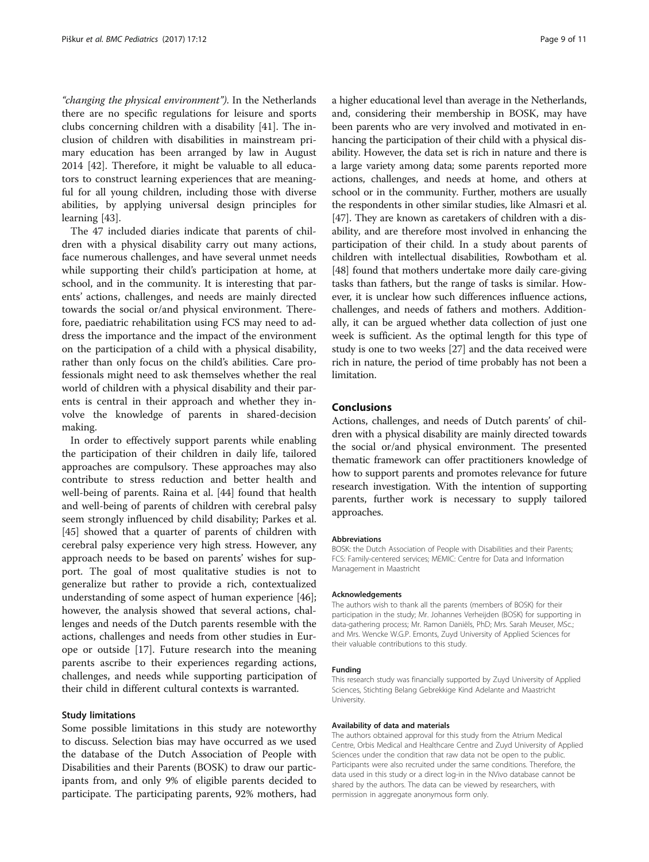"changing the physical environment"). In the Netherlands there are no specific regulations for leisure and sports clubs concerning children with a disability [\[41](#page-10-0)]. The inclusion of children with disabilities in mainstream primary education has been arranged by law in August 2014 [[42](#page-10-0)]. Therefore, it might be valuable to all educators to construct learning experiences that are meaningful for all young children, including those with diverse abilities, by applying universal design principles for learning [[43\]](#page-10-0).

The 47 included diaries indicate that parents of children with a physical disability carry out many actions, face numerous challenges, and have several unmet needs while supporting their child's participation at home, at school, and in the community. It is interesting that parents' actions, challenges, and needs are mainly directed towards the social or/and physical environment. Therefore, paediatric rehabilitation using FCS may need to address the importance and the impact of the environment on the participation of a child with a physical disability, rather than only focus on the child's abilities. Care professionals might need to ask themselves whether the real world of children with a physical disability and their parents is central in their approach and whether they involve the knowledge of parents in shared-decision making.

In order to effectively support parents while enabling the participation of their children in daily life, tailored approaches are compulsory. These approaches may also contribute to stress reduction and better health and well-being of parents. Raina et al. [\[44](#page-10-0)] found that health and well-being of parents of children with cerebral palsy seem strongly influenced by child disability; Parkes et al. [[45\]](#page-10-0) showed that a quarter of parents of children with cerebral palsy experience very high stress. However, any approach needs to be based on parents' wishes for support. The goal of most qualitative studies is not to generalize but rather to provide a rich, contextualized understanding of some aspect of human experience [\[46](#page-10-0)]; however, the analysis showed that several actions, challenges and needs of the Dutch parents resemble with the actions, challenges and needs from other studies in Europe or outside [[17\]](#page-9-0). Future research into the meaning parents ascribe to their experiences regarding actions, challenges, and needs while supporting participation of their child in different cultural contexts is warranted.

#### Study limitations

Some possible limitations in this study are noteworthy to discuss. Selection bias may have occurred as we used the database of the Dutch Association of People with Disabilities and their Parents (BOSK) to draw our participants from, and only 9% of eligible parents decided to participate. The participating parents, 92% mothers, had a higher educational level than average in the Netherlands, and, considering their membership in BOSK, may have been parents who are very involved and motivated in enhancing the participation of their child with a physical disability. However, the data set is rich in nature and there is a large variety among data; some parents reported more actions, challenges, and needs at home, and others at school or in the community. Further, mothers are usually the respondents in other similar studies, like Almasri et al. [[47](#page-10-0)]. They are known as caretakers of children with a disability, and are therefore most involved in enhancing the participation of their child. In a study about parents of children with intellectual disabilities, Rowbotham et al. [[48](#page-10-0)] found that mothers undertake more daily care-giving tasks than fathers, but the range of tasks is similar. However, it is unclear how such differences influence actions, challenges, and needs of fathers and mothers. Additionally, it can be argued whether data collection of just one week is sufficient. As the optimal length for this type of study is one to two weeks [[27](#page-10-0)] and the data received were rich in nature, the period of time probably has not been a limitation.

#### Conclusions

Actions, challenges, and needs of Dutch parents' of children with a physical disability are mainly directed towards the social or/and physical environment. The presented thematic framework can offer practitioners knowledge of how to support parents and promotes relevance for future research investigation. With the intention of supporting parents, further work is necessary to supply tailored approaches.

#### Abbreviations

BOSK: the Dutch Association of People with Disabilities and their Parents; FCS: Family-centered services; MEMIC: Centre for Data and Information Management in Maastricht

#### Acknowledgements

The authors wish to thank all the parents (members of BOSK) for their participation in the study; Mr. Johannes Verheijden (BOSK) for supporting in data-gathering process; Mr. Ramon Daniëls, PhD; Mrs. Sarah Meuser, MSc.; and Mrs. Wencke W.G.P. Emonts, Zuyd University of Applied Sciences for their valuable contributions to this study.

#### Funding

This research study was financially supported by Zuyd University of Applied Sciences, Stichting Belang Gebrekkige Kind Adelante and Maastricht University.

#### Availability of data and materials

The authors obtained approval for this study from the Atrium Medical Centre, Orbis Medical and Healthcare Centre and Zuyd University of Applied Sciences under the condition that raw data not be open to the public. Participants were also recruited under the same conditions. Therefore, the data used in this study or a direct log-in in the NVivo database cannot be shared by the authors. The data can be viewed by researchers, with permission in aggregate anonymous form only.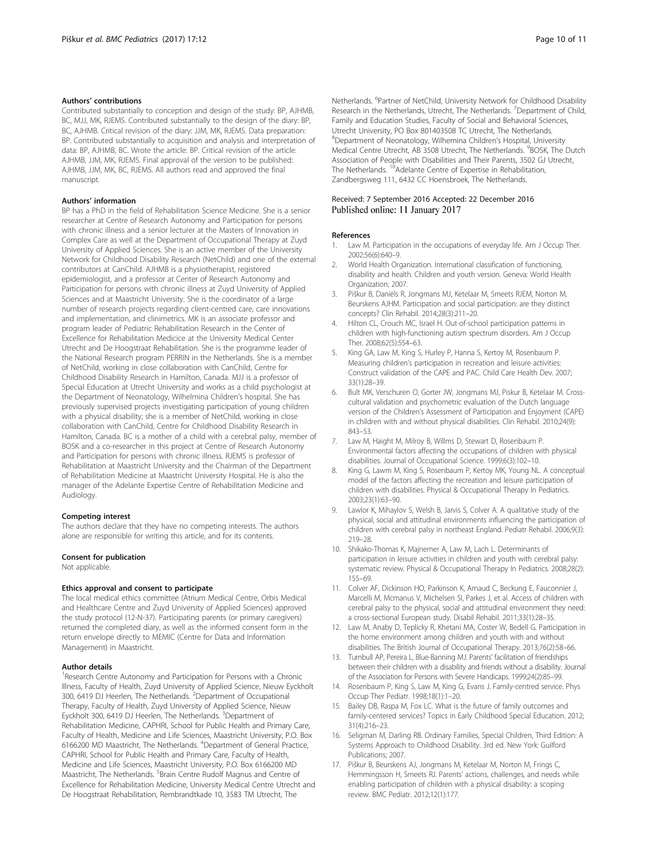#### <span id="page-9-0"></span>Authors' contributions

Contributed substantially to conception and design of the study: BP, AJHMB, BC, MJJ, MK, RJEMS. Contributed substantially to the design of the diary: BP, BC, AJHMB. Critical revision of the diary: JJM, MK, RJEMS. Data preparation: BP. Contributed substantially to acquisition and analysis and interpretation of data: BP, AJHMB, BC. Wrote the article: BP. Critical revision of the article: AJHMB, JJM, MK, RJEMS. Final approval of the version to be published: AJHMB, JJM, MK, BC, RJEMS. All authors read and approved the final manuscript.

#### Authors' information

BP has a PhD in the field of Rehabilitation Science Medicine. She is a senior researcher at Centre of Research Autonomy and Participation for persons with chronic illness and a senior lecturer at the Masters of Innovation in Complex Care as well at the Department of Occupational Therapy at Zuyd University of Applied Sciences. She is an active member of the University Network for Childhood Disability Research (NetChild) and one of the external contributors at CanChild. AJHMB is a physiotherapist, registered epidemiologist, and a professor at Center of Research Autonomy and Participation for persons with chronic illness at Zuyd University of Applied Sciences and at Maastricht University. She is the coordinator of a large number of research projects regarding client-centred care, care innovations and implementation, and clinimetrics. MK is an associate professor and program leader of Pediatric Rehabilitation Research in the Center of Excellence for Rehabilitation Medicice at the University Medical Center Utrecht and De Hoogstraat Rehabilitation. She is the programme leader of the National Research program PERRIN in the Netherlands. She is a member of NetChild, working in close collaboration with CanChild, Centre for Childhood Disability Research in Hamilton, Canada. MJJ is a professor of Special Education at Utrecht University and works as a child psychologist at the Department of Neonatology, Wilhelmina Children's hospital. She has previously supervised projects investigating participation of young children with a physical disability; she is a member of NetChild, working in close collaboration with CanChild, Centre for Childhood Disability Research in Hamilton, Canada. BC is a mother of a child with a cerebral palsy, member of BOSK and a co-researcher in this project at Centre of Research Autonomy and Participation for persons with chronic illness. RJEMS is professor of Rehabilitation at Maastricht University and the Chairman of the Department of Rehabilitation Medicine at Maastricht University Hospital. He is also the manager of the Adelante Expertise Centre of Rehabilitation Medicine and Audiology.

#### Competing interest

The authors declare that they have no competing interests. The authors alone are responsible for writing this article, and for its contents.

#### Consent for publication

Not applicable.

#### Ethics approval and consent to participate

The local medical ethics committee (Atrium Medical Centre, Orbis Medical and Healthcare Centre and Zuyd University of Applied Sciences) approved the study protocol (12-N-37). Participating parents (or primary caregivers) returned the completed diary, as well as the informed consent form in the return envelope directly to MEMIC (Centre for Data and Information Management) in Maastricht.

#### Author details

<sup>1</sup> Research Centre Autonomy and Participation for Persons with a Chronic Illness, Faculty of Health, Zuyd University of Applied Science, Nieuw Eyckholt<br>300, 6419 DJ Heerlen, The Netherlands. <sup>2</sup>Department of Occupational Therapy, Faculty of Health, Zuyd University of Applied Science, Nieuw Eyckholt 300, 6419 DJ Heerlen, The Netherlands. <sup>3</sup>Department of Rehabilitation Medicine, CAPHRI, School for Public Health and Primary Care, Faculty of Health, Medicine and Life Sciences, Maastricht University, P.O. Box 6166200 MD Maastricht, The Netherlands. <sup>4</sup>Department of General Practice, CAPHRI, School for Public Health and Primary Care, Faculty of Health, Medicine and Life Sciences, Maastricht University, P.O. Box 6166200 MD Maastricht, The Netherlands. <sup>5</sup>Brain Centre Rudolf Magnus and Centre of Excellence for Rehabilitation Medicine, University Medical Centre Utrecht and De Hoogstraat Rehabilitation, Rembrandtkade 10, 3583 TM Utrecht, The

Netherlands. <sup>6</sup>Partner of NetChild, University Network for Childhood Disability Research in the Netherlands, Utrecht, The Netherlands. <sup>7</sup>Department of Child Family and Education Studies, Faculty of Social and Behavioral Sciences, Utrecht University, PO Box 801403508 TC Utrecht, The Netherlands. 8 Department of Neonatology, Wilhemina Children's Hospital, University Medical Centre Utrecht, AB 3508 Utrecht, The Netherlands. <sup>9</sup>BOSK, The Dutch Association of People with Disabilities and Their Parents, 3502 GJ Utrecht, The Netherlands. <sup>10</sup>Adelante Centre of Expertise in Rehabilitation, Zandbergsweg 111, 6432 CC Hoensbroek, The Netherlands.

#### Received: 7 September 2016 Accepted: 22 December 2016 Published online: 11 January 2017

#### References

- 1. Law M. Participation in the occupations of everyday life. Am J Occup Ther. 2002;56(6):640–9.
- 2. World Health Organization. International classification of functioning, disability and health. Children and youth version. Geneva: World Health Organization; 2007.
- 3. Piškur B, Daniëls R, Jongmans MJ, Ketelaar M, Smeets RJEM, Norton M, Beurskens AJHM. Participation and social participation: are they distinct concepts? Clin Rehabil. 2014;28(3):211–20.
- 4. Hilton CL, Crouch MC, Israel H. Out-of-school participation patterns in children with high-functioning autism spectrum disorders. Am J Occup Ther. 2008;62(5):554–63.
- 5. King GA, Law M, King S, Hurley P, Hanna S, Kertoy M, Rosenbaum P. Measuring children's participation in recreation and leisure activities: Construct validation of the CAPE and PAC. Child Care Health Dev. 2007; 33(1):28–39.
- 6. Bult MK, Verschuren O, Gorter JW, Jongmans MJ, Piskur B, Ketelaar M. Crosscultural validation and psychometric evaluation of the Dutch language version of the Children's Assessment of Participation and Enjoyment (CAPE) in children with and without physical disabilities. Clin Rehabil. 2010;24(9): 843–53.
- 7. Law M, Haight M, Milroy B, Willms D, Stewart D, Rosenbaum P. Environmental factors affecting the occupations of children with physical disabilities. Journal of Occupational Science. 1999;6(3):102–10.
- King G, Lawm M, King S, Rosenbaum P, Kertoy MK, Young NL. A conceptual model of the factors affecting the recreation and leisure participation of children with disabilities. Physical & Occupational Therapy In Pediatrics. 2003;23(1):63–90.
- 9. Lawlor K, Mihaylov S, Welsh B, Jarvis S, Colver A. A qualitative study of the physical, social and attitudinal environments influencing the participation of children with cerebral palsy in northeast England. Pediatr Rehabil. 2006;9(3): 219–28.
- 10. Shikako-Thomas K, Majnemer A, Law M, Lach L. Determinants of participation in leisure activities in children and youth with cerebral palsy: systematic review. Physical & Occupational Therapy In Pediatrics. 2008;28(2): 155–69.
- 11. Colver AF, Dickinson HO, Parkinson K, Arnaud C, Beckung E, Fauconnier J, Marcelli M, Mcmanus V, Michelsen SI, Parkes J, et al. Access of children with cerebral palsy to the physical, social and attitudinal environment they need: a cross-sectional European study. Disabil Rehabil. 2011;33(1):28–35.
- 12. Law M, Anaby D, Teplicky R, Khetani MA, Coster W, Bedell G. Participation in the home environment among children and youth with and without disabilities. The British Journal of Occupational Therapy. 2013;76(2):58–66.
- 13. Turnbull AP, Pereira L, Blue-Banning MJ. Parents' facilitation of friendships between their children with a disability and friends without a disability. Journal of the Association for Persons with Severe Handicaps. 1999;24(2):85–99.
- 14. Rosenbaum P, King S, Law M, King G, Evans J. Family-centred service. Phys Occup Ther Pediatr. 1998;18(1):1–20.
- 15. Bailey DB, Raspa M, Fox LC. What is the future of family outcomes and family-centered services? Topics in Early Childhood Special Education. 2012; 31(4):216–23.
- 16. Seligman M, Darling RB. Ordinary Families, Special Children, Third Edition: A Systems Approach to Childhood Disability. 3rd ed. New York: Guilford Publications; 2007.
- 17. Piškur B, Beurskens AJ, Jongmans M, Ketelaar M, Norton M, Frings C, Hemmingsson H, Smeets RJ. Parents' actions, challenges, and needs while enabling participation of children with a physical disability: a scoping review. BMC Pediatr. 2012;12(1):177.